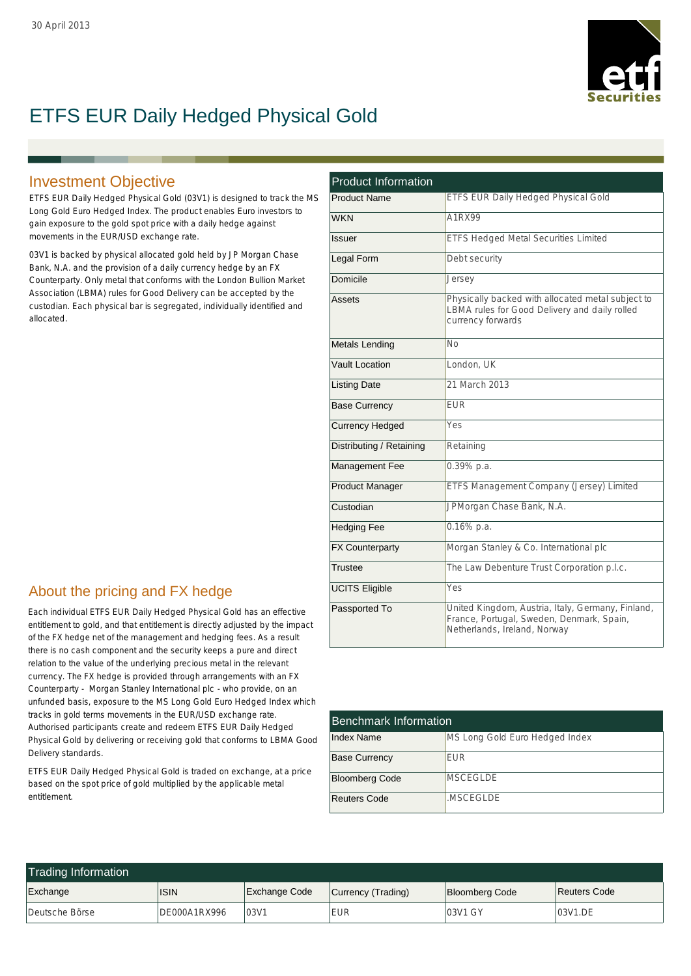

# ETFS EUR Daily Hedged Physical Gold

### Investment Objective

ETFS EUR Daily Hedged Physical Gold (03V1) is designed to track the MS Long Gold Euro Hedged Index. The product enables Euro investors to gain exposure to the gold spot price with a daily hedge against movements in the EUR/USD exchange rate.

03V1 is backed by physical allocated gold held by JP Morgan Chase Bank, N.A. and the provision of a daily currency hedge by an FX Counterparty. Only metal that conforms with the London Bullion Market Association (LBMA) rules for Good Delivery can be accepted by the custodian. Each physical bar is segregated, individually identified and allocated.

## About the pricing and FX hedge

Each individual ETFS EUR Daily Hedged Physical Gold has an effective entitlement to gold, and that entitlement is directly adjusted by the impact of the FX hedge net of the management and hedging fees. As a result there is no cash component and the security keeps a pure and direct relation to the value of the underlying precious metal in the relevant currency. The FX hedge is provided through arrangements with an FX Counterparty - Morgan Stanley International plc - who provide, on an unfunded basis, exposure to the MS Long Gold Euro Hedged Index which tracks in gold terms movements in the EUR/USD exchange rate. Authorised participants create and redeem ETFS EUR Daily Hedged Physical Gold by delivering or receiving gold that conforms to LBMA Good Delivery standards.

ETFS EUR Daily Hedged Physical Gold is traded on exchange, at a price based on the spot price of gold multiplied by the applicable metal entitlement.

| <b>Product Information</b> |                                                                                                                                |  |  |  |  |
|----------------------------|--------------------------------------------------------------------------------------------------------------------------------|--|--|--|--|
| <b>Product Name</b>        | ETFS EUR Daily Hedged Physical Gold                                                                                            |  |  |  |  |
| <b>WKN</b>                 | A1RX99                                                                                                                         |  |  |  |  |
| Issuer                     | <b>ETFS Hedged Metal Securities Limited</b>                                                                                    |  |  |  |  |
| Legal Form                 | Debt security                                                                                                                  |  |  |  |  |
| Domicile                   | Jersey                                                                                                                         |  |  |  |  |
| Assets                     | Physically backed with allocated metal subject to<br>LBMA rules for Good Delivery and daily rolled<br>currency forwards        |  |  |  |  |
| <b>Metals Lending</b>      | Nο                                                                                                                             |  |  |  |  |
| Vault Location             | London, UK                                                                                                                     |  |  |  |  |
| <b>Listing Date</b>        | 21 March 2013                                                                                                                  |  |  |  |  |
| <b>Base Currency</b>       | <b>FUR</b>                                                                                                                     |  |  |  |  |
| <b>Currency Hedged</b>     | Yes                                                                                                                            |  |  |  |  |
| Distributing / Retaining   | Retaining                                                                                                                      |  |  |  |  |
| Management Fee             | 0.39% p.a.                                                                                                                     |  |  |  |  |
| <b>Product Manager</b>     | ETFS Management Company (Jersey) Limited                                                                                       |  |  |  |  |
| Custodian                  | JPMorgan Chase Bank, N.A.                                                                                                      |  |  |  |  |
| <b>Hedging Fee</b>         | $0.16\%$ p.a.                                                                                                                  |  |  |  |  |
| <b>FX Counterparty</b>     | Morgan Stanley & Co. International plc                                                                                         |  |  |  |  |
| Trustee                    | The Law Debenture Trust Corporation p.l.c.                                                                                     |  |  |  |  |
| <b>UCITS Eligible</b>      | Yes                                                                                                                            |  |  |  |  |
| Passported To              | United Kingdom, Austria, Italy, Germany, Finland,<br>France, Portugal, Sweden, Denmark, Spain,<br>Netherlands, Ireland, Norway |  |  |  |  |

| <b>Benchmark Information</b> |                                |  |  |  |  |
|------------------------------|--------------------------------|--|--|--|--|
| <b>Index Name</b>            | MS Long Gold Euro Hedged Index |  |  |  |  |
| <b>Base Currency</b>         | <b>FUR</b>                     |  |  |  |  |
| <b>Bloomberg Code</b>        | MSCEGI DE                      |  |  |  |  |
| <b>Reuters Code</b>          | .MSCEGI DE                     |  |  |  |  |

| <b>Trading Information</b> |              |                      |                    |                       |              |  |  |  |  |
|----------------------------|--------------|----------------------|--------------------|-----------------------|--------------|--|--|--|--|
| Exchange                   | <b>ISIN</b>  | <b>Exchange Code</b> | Currency (Trading) | <b>Bloomberg Code</b> | Reuters Code |  |  |  |  |
| Deutsche Börse             | DE000A1RX996 | 03V1                 | <b>EUR</b>         | 03V1 GY               | 03V1.DE      |  |  |  |  |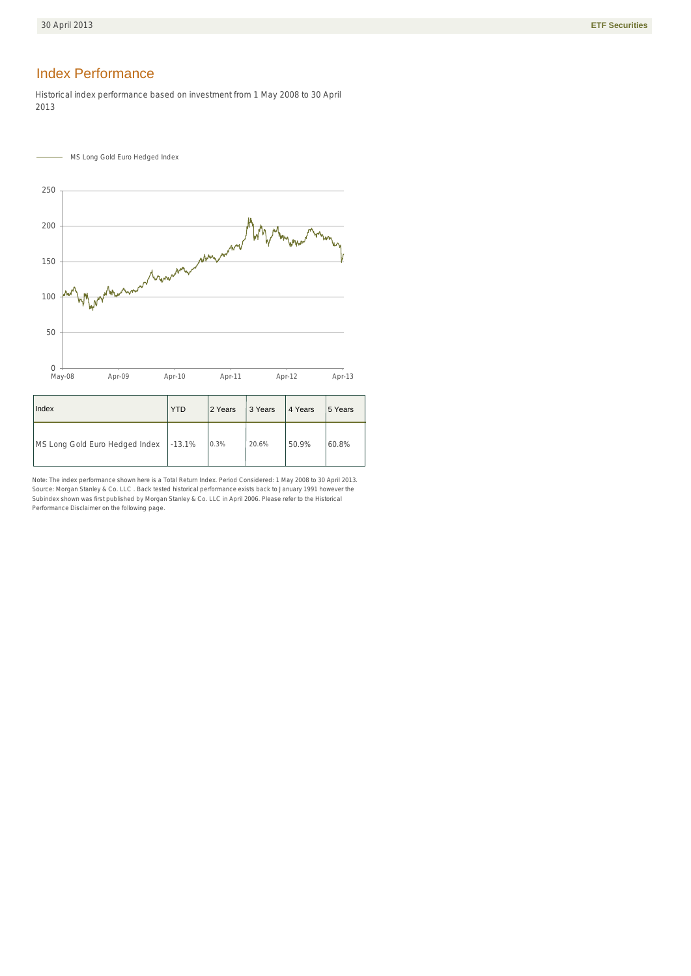### **Index Performance**

Historical index performance based on investment from 1 May 2008 to 30 April 2013



| Index                                   | <b>YTD</b> | 2 Years | 3 Years | 4 Years | 5 Years |
|-----------------------------------------|------------|---------|---------|---------|---------|
| MS Long Gold Euro Hedged Index   -13.1% |            | 0.3%    | 20.6%   | 50.9%   | 60.8%   |

Note: The index performance shown here is a Total Return Index. Period Considered: 1 May 2008 to 30 April 2013. Source: Morgan Stanley & Co. LLC . Back tested historical performance exists back to January 1991 however the Subindex shown was first published by Morgan Stanley & Co. LLC in April 2006. Please refer to the Historical Performance Disclaimer on the following page.